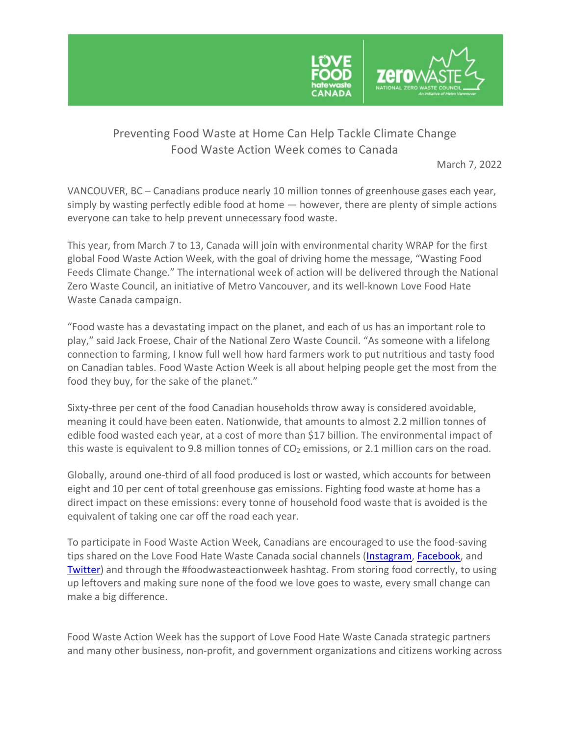

## Preventing Food Waste at Home Can Help Tackle Climate Change Food Waste Action Week comes to Canada

March 7, 2022

VANCOUVER, BC – Canadians produce nearly 10 million tonnes of greenhouse gases each year, simply by wasting perfectly edible food at home — however, there are plenty of simple actions everyone can take to help prevent unnecessary food waste.

This year, from March 7 to 13, Canada will join with environmental charity WRAP for the first global Food Waste Action Week, with the goal of driving home the message, "Wasting Food Feeds Climate Change." The international week of action will be delivered through the National Zero Waste Council, an initiative of Metro Vancouver, and its well-known Love Food Hate Waste Canada campaign.

"Food waste has a devastating impact on the planet, and each of us has an important role to play," said Jack Froese, Chair of the National Zero Waste Council. "As someone with a lifelong connection to farming, I know full well how hard farmers work to put nutritious and tasty food on Canadian tables. Food Waste Action Week is all about helping people get the most from the food they buy, for the sake of the planet."

Sixty-three per cent of the food Canadian households throw away is considered avoidable, meaning it could have been eaten. Nationwide, that amounts to almost 2.2 million tonnes of edible food wasted each year, at a cost of more than \$17 billion. The environmental impact of this waste is equivalent to 9.8 million tonnes of  $CO<sub>2</sub>$  emissions, or 2.1 million cars on the road.

Globally, around one-third of all food produced is lost or wasted, which accounts for between eight and 10 per cent of total greenhouse gas emissions. Fighting food waste at home has a direct impact on these emissions: every tonne of household food waste that is avoided is the equivalent of taking one car off the road each year.

To participate in Food Waste Action Week, Canadians are encouraged to use the food-saving tips shared on the Love Food Hate Waste Canada social channels (Instagram, Facebook, and Twitter) and through the #foodwasteactionweek hashtag. From storing food correctly, to using up leftovers and making sure none of the food we love goes to waste, every small change can make a big difference.

Food Waste Action Week has the support of Love Food Hate Waste Canada strategic partners and many other business, non-profit, and government organizations and citizens working across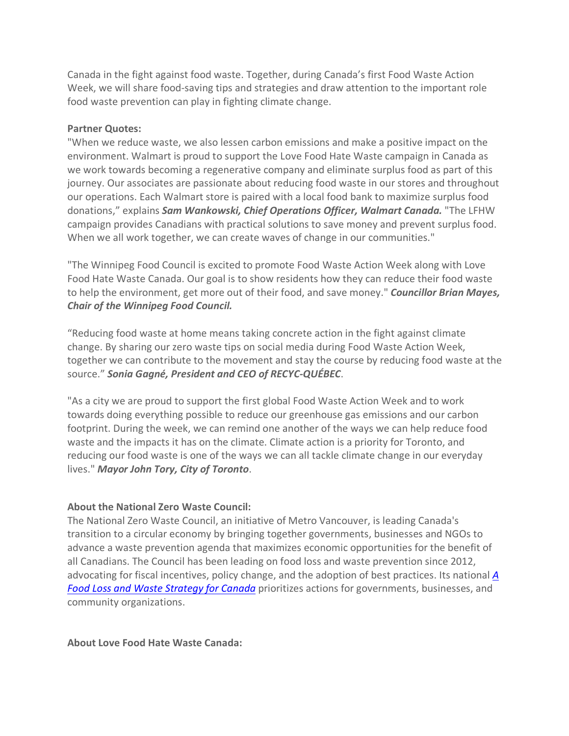Canada in the fight against food waste. Together, during Canada's first Food Waste Action Week, we will share food-saving tips and strategies and draw attention to the important role food waste prevention can play in fighting climate change.

## **Partner Quotes:**

"When we reduce waste, we also lessen carbon emissions and make a positive impact on the environment. Walmart is proud to support the Love Food Hate Waste campaign in Canada as we work towards becoming a regenerative company and eliminate surplus food as part of this journey. Our associates are passionate about reducing food waste in our stores and throughout our operations. Each Walmart store is paired with a local food bank to maximize surplus food donations," explains *Sam Wankowski, Chief Operations Officer, Walmart Canada.* "The LFHW campaign provides Canadians with practical solutions to save money and prevent surplus food. When we all work together, we can create waves of change in our communities."

"The Winnipeg Food Council is excited to promote Food Waste Action Week along with Love Food Hate Waste Canada. Our goal is to show residents how they can reduce their food waste to help the environment, get more out of their food, and save money." *Councillor Brian Mayes, Chair of the Winnipeg Food Council.*

"Reducing food waste at home means taking concrete action in the fight against climate change. By sharing our zero waste tips on social media during Food Waste Action Week, together we can contribute to the movement and stay the course by reducing food waste at the source." *Sonia Gagné, President and CEO of RECYC-QUÉBEC*.

"As a city we are proud to support the first global Food Waste Action Week and to work towards doing everything possible to reduce our greenhouse gas emissions and our carbon footprint. During the week, we can remind one another of the ways we can help reduce food waste and the impacts it has on the climate. Climate action is a priority for Toronto, and reducing our food waste is one of the ways we can all tackle climate change in our everyday lives." *Mayor John Tory, City of Toronto*.

## **About the National Zero Waste Council:**

The National Zero Waste Council, an initiative of Metro Vancouver, is leading Canada's transition to a circular economy by bringing together governments, businesses and NGOs to advance a waste prevention agenda that maximizes economic opportunities for the benefit of all Canadians. The Council has been leading on food loss and waste prevention since 2012, advocating for fiscal incentives, policy change, and the adoption of best practices. Its national *A Food Loss and Waste Strategy for Canada* prioritizes actions for governments, businesses, and community organizations.

## **About Love Food Hate Waste Canada:**